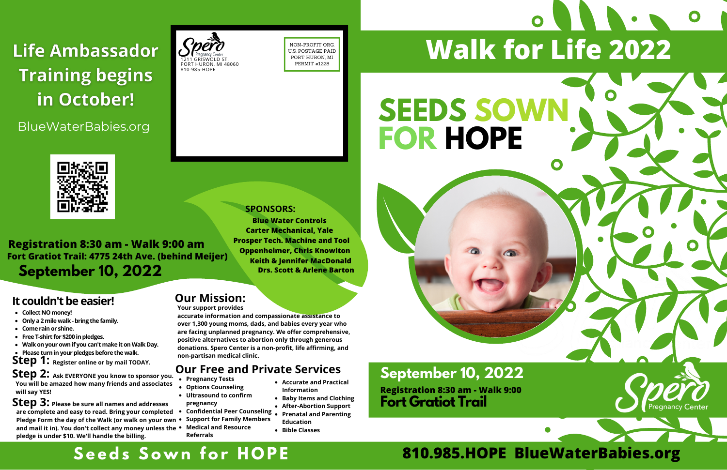#### **Our Mission:**

**Your support provides**

**accurate information and compassionate assistance to over 1,300 young moms, dads, and babies every year who are facing unplanned pregnancy. We offer comprehensive, positive alternatives to abortion only through generous donations. Spero Center is a non-profit, life affirming, and non-partisan medical clinic.**

## Life Ambassador **Training begins** in October!

BlueWaterBabies.org

- **Collect NOmoney!**
- **Only a 2mile walk-bring the family.**
- **Come rainor shine.**
- **Free T-shirt for \$200 inpledges.**
- **Walkonyourownif youcan'tmake itonWalk Day.**
- **Please turninyourpledgesbefore the walk.**
- **Step 1: Register online or by mail TODAY.**

## **S e e d s S o w n f o r H O P E**

**Step 2: Ask EVERYONE you know to sponsor you. You will be amazed how many friends and associates will say YES!**

**Step 3: Please be sure all names and addresses are complete and easy to read. Bring your completed Pledge Form the day of the Walk (or walk on your own and mail it in). You don't collect any money unless the Medical and Resource pledge is under \$10. We'll handle the billing.**

#### **SPONSORS:**



NON-PROFIT ORG. U.S. POSTAGE PAID PORT HURON, MI PERMIT #1228

**Registration 8:30 am - Walk 9:00 am Fort Gratiot Trail: 4775 24th Ave. (behind Meijer) September 10, 2022**

#### **It couldn't be easier!**

#### **Our Free and Private Services**

- **Pregnancy Tests**
- **Options Counseling Ultrasound to confirm**
- **pregnancy**
- **Confidential Peer Counseling**  $\bullet$ **Support for Family Members**
- **Referrals**
- **Accurate and Practical Information**
- **Baby Items and Clothing**
- **After-Abortion Support Prenatal and Parenting Education**
- **Bible Classes**

# **SEEDS SOWN FOR HOPE**





# **Walk for Life 2022**



**Fort Gratiot Trail Registration 8:30 am - Walk 9:00**

**Blue Water Controls Keith & Jennifer MacDonald Drs. Scott & Arlene Barton Carter Mechanical, Yale Prosper Tech. Machine and Tool Oppenheimer, Chris Knowlton**

### **September 10, 2022**